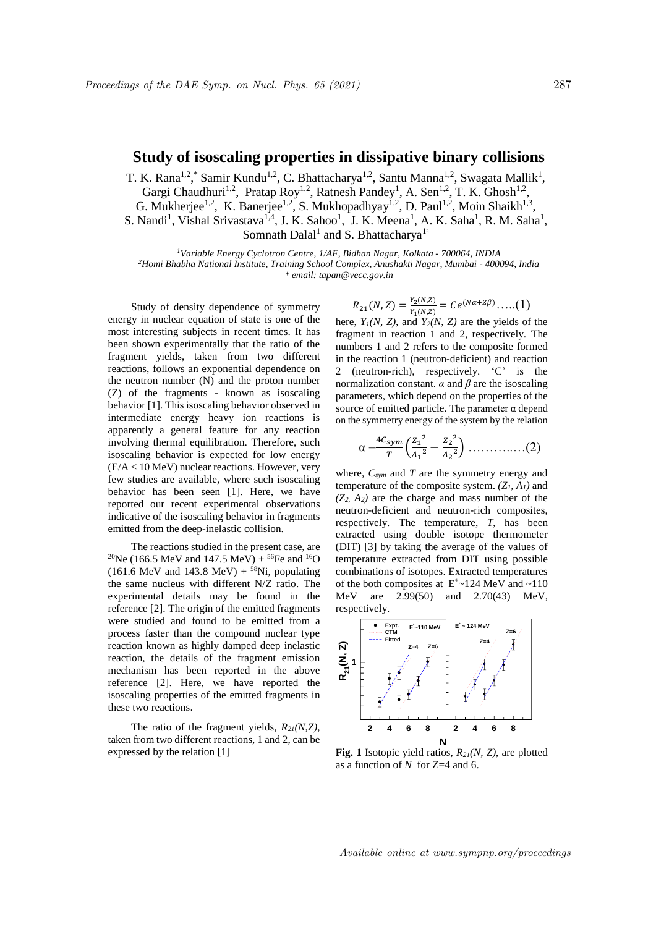## **Study of isoscaling properties in dissipative binary collisions**

T. K. Rana<sup>1,2</sup>, \* Samir Kundu<sup>1,2</sup>, C. Bhattacharya<sup>1,2</sup>, Santu Manna<sup>1,2</sup>, Swagata Mallik<sup>1</sup>, Gargi Chaudhuri<sup>1,2</sup>, Pratap Roy<sup>1,2</sup>, Ratnesh Pandey<sup>1</sup>, A. Sen<sup>1,2</sup>, T. K. Ghosh<sup>1,2</sup>, G. Mukherjee<sup>1,2</sup>, K. Banerjee<sup>1,2</sup>, S. Mukhopadhyay<sup>1,2</sup>, D. Paul<sup>1,2</sup>, Moin Shaikh<sup>1,3</sup>, S. Nandi<sup>1</sup>, Vishal Srivastava<sup>1,4</sup>, J. K. Sahoo<sup>1</sup>, J. K. Meena<sup>1</sup>, A. K. Saha<sup>1</sup>, R. M. Saha<sup>1</sup>, Somnath Dalal<sup>1</sup> and S. Bhattacharya<sup>1</sup><sup>1</sup>

*<sup>1</sup>Variable Energy Cyclotron Centre, 1/AF, Bidhan Nagar, Kolkata - 700064, INDIA <sup>2</sup>Homi Bhabha National Institute, Training School Complex, Anushakti Nagar, Mumbai - 400094, India \* email: tapan@vecc.gov.in*

Study of density dependence of symmetry energy in nuclear equation of state is one of the most interesting subjects in recent times. It has been shown experimentally that the ratio of the fragment yields, taken from two different reactions, follows an exponential dependence on the neutron number (N) and the proton number (Z) of the fragments - known as isoscaling behavior [1]. This isoscaling behavior observed in intermediate energy heavy ion reactions is apparently a general feature for any reaction involving thermal equilibration. Therefore, such isoscaling behavior is expected for low energy (E/A < 10 MeV) nuclear reactions. However, very few studies are available, where such isoscaling behavior has been seen [1]. Here, we have reported our recent experimental observations indicative of the isoscaling behavior in fragments emitted from the deep-inelastic collision.

The reactions studied in the present case, are <sup>20</sup>Ne (166.5 MeV and 147.5 MeV) + <sup>56</sup>Fe and <sup>16</sup>O (161.6 MeV and 143.8 MeV) +  $^{58}$ Ni, populating the same nucleus with different N/Z ratio. The experimental details may be found in the reference [2]. The origin of the emitted fragments were studied and found to be emitted from a process faster than the compound nuclear type reaction known as highly damped deep inelastic reaction, the details of the fragment emission mechanism has been reported in the above reference [2]. Here, we have reported the isoscaling properties of the emitted fragments in these two reactions.

The ratio of the fragment yields, *R21(N,Z)*, taken from two different reactions, 1 and 2, can be expressed by the relation [1]

$$
R_{21}(N,Z) = \frac{Y_2(N,Z)}{Y_1(N,Z)} = Ce^{(N\alpha + Z\beta)} \dots (1)
$$

here,  $Y_1(N, Z)$ , and  $Y_2(N, Z)$  are the yields of the fragment in reaction 1 and 2, respectively. The numbers 1 and 2 refers to the composite formed in the reaction 1 (neutron-deficient) and reaction 2 (neutron-rich), respectively. 'C' is the normalization constant.  $\alpha$  and  $\beta$  are the isoscaling parameters, which depend on the properties of the source of emitted particle. The parameter  $\alpha$  depend on the symmetry energy of the system by the relation

$$
\alpha = \frac{4C_{sym}}{T} \left( \frac{Z_1^2}{A_1^2} - \frac{Z_2^2}{A_2^2} \right) \dots \dots \dots \dots \dots (2)
$$

where, *Csym* and *T* are the symmetry energy and temperature of the composite system.  $(Z_I, A_I)$  and  $(Z_2, A_2)$  are the charge and mass number of the neutron-deficient and neutron-rich composites, respectively. The temperature, *T*, has been extracted using double isotope thermometer (DIT) [3] by taking the average of the values of temperature extracted from DIT using possible combinations of isotopes. Extracted temperatures of the both composites at  $E^*$  ~124 MeV and ~110 MeV are 2.99(50) and 2.70(43) MeV, respectively.



**Fig. 1** Isotopic yield ratios, *R21(N, Z)*, are plotted as a function of *N* for Z=4 and 6.

Available online at www.sympnp.org/proceedings